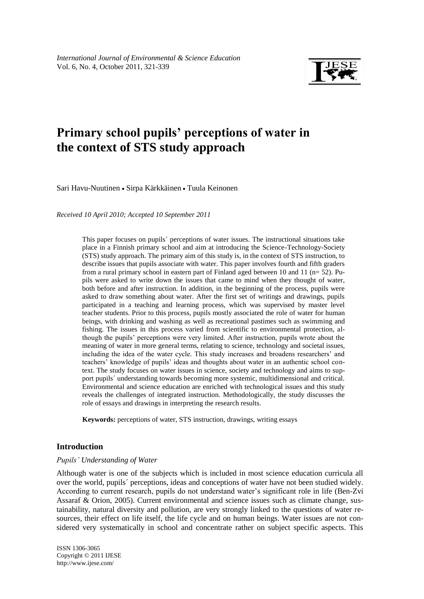

# **Primary school pupils' perceptions of water in the context of STS study approach**

Sari Havu-Nuutinen • Sirpa Kärkkäinen • Tuula Keinonen

*Received 10 April 2010; Accepted 10 September 2011*

This paper focuses on pupils´ perceptions of water issues. The instructional situations take place in a Finnish primary school and aim at introducing the Science-Technology-Society (STS) study approach. The primary aim of this study is, in the context of STS instruction, to describe issues that pupils associate with water. This paper involves fourth and fifth graders from a rural primary school in eastern part of Finland aged between 10 and 11 (n= 52). Pupils were asked to write down the issues that came to mind when they thought of water, both before and after instruction. In addition, in the beginning of the process, pupils were asked to draw something about water. After the first set of writings and drawings, pupils participated in a teaching and learning process, which was supervised by master level teacher students. Prior to this process, pupils mostly associated the role of water for human beings, with drinking and washing as well as recreational pastimes such as swimming and fishing. The issues in this process varied from scientific to environmental protection, although the pupils' perceptions were very limited. After instruction, pupils wrote about the meaning of water in more general terms, relating to science, technology and societal issues, including the idea of the water cycle. This study increases and broadens researchers' and teachers' knowledge of pupils' ideas and thoughts about water in an authentic school context. The study focuses on water issues in science, society and technology and aims to support pupils´ understanding towards becoming more systemic, multidimensional and critical. Environmental and science education are enriched with technological issues and this study reveals the challenges of integrated instruction. Methodologically, the study discusses the role of essays and drawings in interpreting the research results.

**Keywords:** perceptions of water, STS instruction, drawings, writing essays

# **Introduction**

#### *Pupils' Understanding of Water*

Although water is one of the subjects which is included in most science education curricula all over the world, pupils´ perceptions, ideas and conceptions of water have not been studied widely. According to current research, pupils do not understand water's significant role in life (Ben-Zvi Assaraf & Orion, 2005). Current environmental and science issues such as climate change, sustainability, natural diversity and pollution, are very strongly linked to the questions of water resources, their effect on life itself, the life cycle and on human beings. Water issues are not considered very systematically in school and concentrate rather on subject specific aspects. This

ISSN 1306-3065 Copyright © 2011 IJESE <http://www.ijese.com/>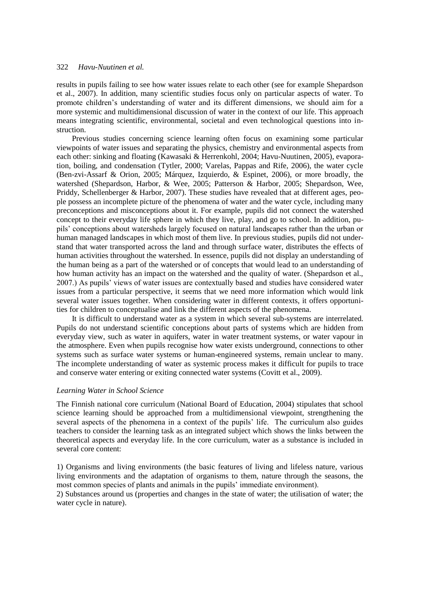results in pupils failing to see how water issues relate to each other (see for example Shepardson et al., 2007). In addition, many scientific studies focus only on particular aspects of water. To promote children's understanding of water and its different dimensions, we should aim for a more systemic and multidimensional discussion of water in the context of our life. This approach means integrating scientific, environmental, societal and even technological questions into instruction.

Previous studies concerning science learning often focus on examining some particular viewpoints of water issues and separating the physics, chemistry and environmental aspects from each other: sinking and floating (Kawasaki & Herrenkohl, 2004; Havu-Nuutinen, 2005), evaporation, boiling, and condensation (Tytler, 2000; Varelas, Pappas and Rife, 2006), the water cycle (Ben-zvi-Assarf & Orion, 2005; Márquez, Izquierdo, & Espinet, 2006), or more broadly, the watershed (Shepardson, Harbor, & Wee, 2005; Patterson & Harbor, 2005; Shepardson, Wee, Priddy, Schellenberger & Harbor, 2007). These studies have revealed that at different ages, people possess an incomplete picture of the phenomena of water and the water cycle, including many preconceptions and misconceptions about it. For example, pupils did not connect the watershed concept to their everyday life sphere in which they live, play, and go to school. In addition, pupils' conceptions about watersheds largely focused on natural landscapes rather than the urban or human managed landscapes in which most of them live. In previous studies, pupils did not understand that water transported across the land and through surface water, distributes the effects of human activities throughout the watershed. In essence, pupils did not display an understanding of the human being as a part of the watershed or of concepts that would lead to an understanding of how human activity has an impact on the watershed and the quality of water. (Shepardson et al., 2007.) As pupils' views of water issues are contextually based and studies have considered water issues from a particular perspective, it seems that we need more information which would link several water issues together. When considering water in different contexts, it offers opportunities for children to conceptualise and link the different aspects of the phenomena.

It is difficult to understand water as a system in which several sub-systems are interrelated. Pupils do not understand scientific conceptions about parts of systems which are hidden from everyday view, such as water in aquifers, water in water treatment systems, or water vapour in the atmosphere. Even when pupils recognise how water exists underground, connections to other systems such as surface water systems or human-engineered systems, remain unclear to many. The incomplete understanding of water as systemic process makes it difficult for pupils to trace and conserve water entering or exiting connected water systems (Covitt et al., 2009).

#### *Learning Water in School Science*

The Finnish national core curriculum (National Board of Education, 2004) stipulates that school science learning should be approached from a multidimensional viewpoint, strengthening the several aspects of the phenomena in a context of the pupils' life. The curriculum also guides teachers to consider the learning task as an integrated subject which shows the links between the theoretical aspects and everyday life. In the core curriculum, water as a substance is included in several core content:

1) Organisms and living environments (the basic features of living and lifeless nature, various living environments and the adaptation of organisms to them, nature through the seasons, the most common species of plants and animals in the pupils' immediate environment).

2) Substances around us (properties and changes in the state of water; the utilisation of water; the water cycle in nature).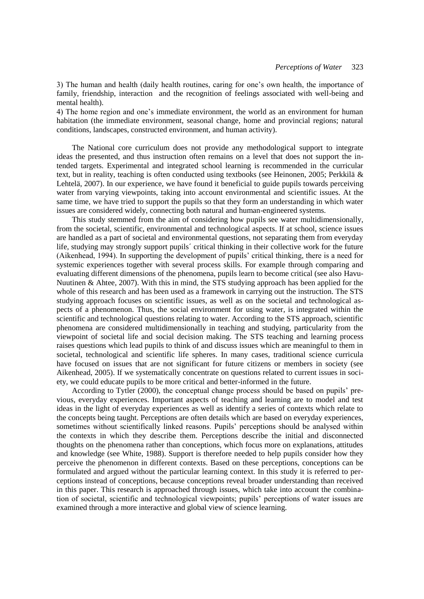3) The human and health (daily health routines, caring for one's own health, the importance of family, friendship, interaction and the recognition of feelings associated with well-being and mental health).

4) The home region and one's immediate environment, the world as an environment for human habitation (the immediate environment, seasonal change, home and provincial regions; natural conditions, landscapes, constructed environment, and human activity).

The National core curriculum does not provide any methodological support to integrate ideas the presented, and thus instruction often remains on a level that does not support the intended targets. Experimental and integrated school learning is recommended in the curricular text, but in reality, teaching is often conducted using textbooks (see Heinonen, 2005; Perkkilä & Lehtelä, 2007). In our experience, we have found it beneficial to guide pupils towards perceiving water from varying viewpoints, taking into account environmental and scientific issues. At the same time, we have tried to support the pupils so that they form an understanding in which water issues are considered widely, connecting both natural and human-engineered systems.

This study stemmed from the aim of considering how pupils see water multidimensionally, from the societal, scientific, environmental and technological aspects. If at school, science issues are handled as a part of societal and environmental questions, not separating them from everyday life, studying may strongly support pupils´ critical thinking in their collective work for the future (Aikenhead, 1994). In supporting the development of pupils' critical thinking, there is a need for systemic experiences together with several process skills. For example through comparing and evaluating different dimensions of the phenomena, pupils learn to become critical (see also Havu-Nuutinen & Ahtee, 2007). With this in mind, the STS studying approach has been applied for the whole of this research and has been used as a framework in carrying out the instruction. The STS studying approach focuses on scientific issues, as well as on the societal and technological aspects of a phenomenon. Thus, the social environment for using water, is integrated within the scientific and technological questions relating to water. According to the STS approach, scientific phenomena are considered multidimensionally in teaching and studying, particularity from the viewpoint of societal life and social decision making. The STS teaching and learning process raises questions which lead pupils to think of and discuss issues which are meaningful to them in societal, technological and scientific life spheres. In many cases, traditional science curricula have focused on issues that are not significant for future citizens or members in society (see Aikenhead, 2005). If we systematically concentrate on questions related to current issues in society, we could educate pupils to be more critical and better-informed in the future.

According to Tytler (2000), the conceptual change process should be based on pupils' previous, everyday experiences. Important aspects of teaching and learning are to model and test ideas in the light of everyday experiences as well as identify a series of contexts which relate to the concepts being taught. Perceptions are often details which are based on everyday experiences, sometimes without scientifically linked reasons. Pupils' perceptions should be analysed within the contexts in which they describe them. Perceptions describe the initial and disconnected thoughts on the phenomena rather than conceptions, which focus more on explanations, attitudes and knowledge (see White, 1988). Support is therefore needed to help pupils consider how they perceive the phenomenon in different contexts. Based on these perceptions, conceptions can be formulated and argued without the particular learning context. In this study it is referred to perceptions instead of conceptions, because conceptions reveal broader understanding than received in this paper. This research is approached through issues, which take into account the combination of societal, scientific and technological viewpoints; pupils' perceptions of water issues are examined through a more interactive and global view of science learning.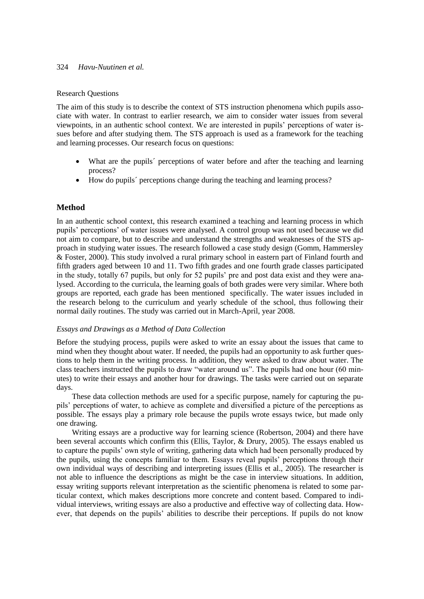# Research Questions

The aim of this study is to describe the context of STS instruction phenomena which pupils associate with water. In contrast to earlier research, we aim to consider water issues from several viewpoints, in an authentic school context. We are interested in pupils' perceptions of water issues before and after studying them. The STS approach is used as a framework for the teaching and learning processes. Our research focus on questions:

- What are the pupils<sup> $\epsilon$ </sup> perceptions of water before and after the teaching and learning process?
- How do pupils´ perceptions change during the teaching and learning process?

# **Method**

In an authentic school context, this research examined a teaching and learning process in which pupils' perceptions' of water issues were analysed. A control group was not used because we did not aim to compare, but to describe and understand the strengths and weaknesses of the STS approach in studying water issues. The research followed a case study design (Gomm, Hammersley & Foster, 2000). This study involved a rural primary school in eastern part of Finland fourth and fifth graders aged between 10 and 11. Two fifth grades and one fourth grade classes participated in the study, totally 67 pupils, but only for 52 pupils' pre and post data exist and they were analysed. According to the curricula, the learning goals of both grades were very similar. Where both groups are reported, each grade has been mentioned specifically. The water issues included in the research belong to the curriculum and yearly schedule of the school, thus following their normal daily routines. The study was carried out in March-April, year 2008.

#### *Essays and Drawings as a Method of Data Collection*

Before the studying process, pupils were asked to write an essay about the issues that came to mind when they thought about water. If needed, the pupils had an opportunity to ask further questions to help them in the writing process. In addition, they were asked to draw about water. The class teachers instructed the pupils to draw "water around us". The pupils had one hour (60 minutes) to write their essays and another hour for drawings. The tasks were carried out on separate days.

These data collection methods are used for a specific purpose, namely for capturing the pupils' perceptions of water, to achieve as complete and diversified a picture of the perceptions as possible. The essays play a primary role because the pupils wrote essays twice, but made only one drawing.

Writing essays are a productive way for learning science (Robertson, 2004) and there have been several accounts which confirm this (Ellis, Taylor, & Drury, 2005). The essays enabled us to capture the pupils' own style of writing, gathering data which had been personally produced by the pupils, using the concepts familiar to them. Essays reveal pupils' perceptions through their own individual ways of describing and interpreting issues (Ellis et al., 2005). The researcher is not able to influence the descriptions as might be the case in interview situations. In addition, essay writing supports relevant interpretation as the scientific phenomena is related to some particular context, which makes descriptions more concrete and content based. Compared to individual interviews, writing essays are also a productive and effective way of collecting data. However, that depends on the pupils' abilities to describe their perceptions. If pupils do not know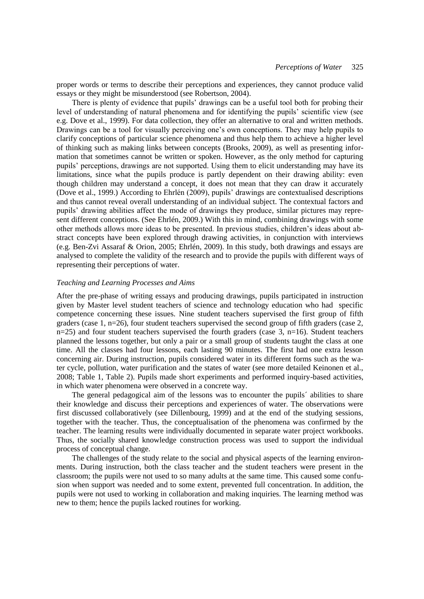proper words or terms to describe their perceptions and experiences, they cannot produce valid essays or they might be misunderstood (see Robertson, 2004).

There is plenty of evidence that pupils' drawings can be a useful tool both for probing their level of understanding of natural phenomena and for identifying the pupils' scientific view (see e.g. Dove et al., 1999). For data collection, they offer an alternative to oral and written methods. Drawings can be a tool for visually perceiving one's own conceptions. They may help pupils to clarify conceptions of particular science phenomena and thus help them to achieve a higher level of thinking such as making links between concepts (Brooks, 2009), as well as presenting information that sometimes cannot be written or spoken. However, as the only method for capturing pupils' perceptions, drawings are not supported. Using them to elicit understanding may have its limitations, since what the pupils produce is partly dependent on their drawing ability: even though children may understand a concept, it does not mean that they can draw it accurately (Dove et al., 1999.) According to Ehrlén (2009), pupils' drawings are contextualised descriptions and thus cannot reveal overall understanding of an individual subject. The contextual factors and pupils' drawing abilities affect the mode of drawings they produce, similar pictures may represent different conceptions. (See Ehrlén, 2009.) With this in mind, combining drawings with some other methods allows more ideas to be presented. In previous studies, children's ideas about abstract concepts have been explored through drawing activities, in conjunction with interviews (e.g. Ben-Zvi Assaraf & Orion, 2005; Ehrlén, 2009). In this study, both drawings and essays are analysed to complete the validity of the research and to provide the pupils with different ways of representing their perceptions of water.

#### *Teaching and Learning Processes and Aims*

After the pre-phase of writing essays and producing drawings, pupils participated in instruction given by Master level student teachers of science and technology education who had specific competence concerning these issues. Nine student teachers supervised the first group of fifth graders (case 1,  $n=26$ ), four student teachers supervised the second group of fifth graders (case 2,  $n=25$ ) and four student teachers supervised the fourth graders (case 3,  $n=16$ ). Student teachers planned the lessons together, but only a pair or a small group of students taught the class at one time. All the classes had four lessons, each lasting 90 minutes. The first had one extra lesson concerning air. During instruction, pupils considered water in its different forms such as the water cycle, pollution, water purification and the states of water (see more detailed Keinonen et al., 2008; Table 1, Table 2). Pupils made short experiments and performed inquiry-based activities, in which water phenomena were observed in a concrete way.

The general pedagogical aim of the lessons was to encounter the pupils´ abilities to share their knowledge and discuss their perceptions and experiences of water. The observations were first discussed collaboratively (see Dillenbourg, 1999) and at the end of the studying sessions, together with the teacher. Thus, the conceptualisation of the phenomena was confirmed by the teacher. The learning results were individually documented in separate water project workbooks. Thus, the socially shared knowledge construction process was used to support the individual process of conceptual change.

The challenges of the study relate to the social and physical aspects of the learning environments. During instruction, both the class teacher and the student teachers were present in the classroom; the pupils were not used to so many adults at the same time. This caused some confusion when support was needed and to some extent, prevented full concentration. In addition, the pupils were not used to working in collaboration and making inquiries. The learning method was new to them; hence the pupils lacked routines for working.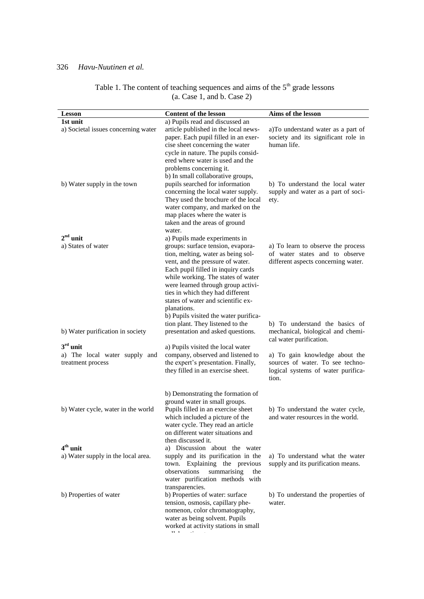| <b>Lesson</b>                                      | Content of the lesson                                                                                                                                                                                                                                                                                                      | Aims of the lesson                                                                                                                            |
|----------------------------------------------------|----------------------------------------------------------------------------------------------------------------------------------------------------------------------------------------------------------------------------------------------------------------------------------------------------------------------------|-----------------------------------------------------------------------------------------------------------------------------------------------|
| 1st unit                                           | a) Pupils read and discussed an                                                                                                                                                                                                                                                                                            |                                                                                                                                               |
| a) Societal issues concerning water                | article published in the local news-<br>paper. Each pupil filled in an exer-<br>cise sheet concerning the water<br>cycle in nature. The pupils consid-<br>ered where water is used and the<br>problems concerning it.<br>b) In small collaborative groups,                                                                 | a)To understand water as a part of<br>society and its significant role in<br>human life.                                                      |
| b) Water supply in the town                        | pupils searched for information<br>concerning the local water supply.<br>They used the brochure of the local<br>water company, and marked on the<br>map places where the water is<br>taken and the areas of ground<br>water.                                                                                               | b) To understand the local water<br>supply and water as a part of soci-<br>ety.                                                               |
| $2nd$ unit<br>a) States of water                   | a) Pupils made experiments in<br>groups: surface tension, evapora-                                                                                                                                                                                                                                                         |                                                                                                                                               |
|                                                    | tion, melting, water as being sol-<br>vent, and the pressure of water.<br>Each pupil filled in inquiry cards<br>while working. The states of water<br>were learned through group activi-<br>ties in which they had different<br>states of water and scientific ex-<br>planations.<br>b) Pupils visited the water purifica- | a) To learn to observe the process<br>of water states and to observe<br>different aspects concerning water.<br>b) To understand the basics of |
| b) Water purification in society                   | tion plant. They listened to the<br>presentation and asked questions.                                                                                                                                                                                                                                                      | mechanical, biological and chemi-<br>cal water purification.                                                                                  |
| $3rd$ unit                                         | a) Pupils visited the local water                                                                                                                                                                                                                                                                                          |                                                                                                                                               |
| a) The local water supply and<br>treatment process | company, observed and listened to<br>the expert's presentation. Finally,<br>they filled in an exercise sheet.                                                                                                                                                                                                              | a) To gain knowledge about the<br>sources of water. To see techno-<br>logical systems of water purifica-<br>tion.                             |
|                                                    | b) Demonstrating the formation of                                                                                                                                                                                                                                                                                          |                                                                                                                                               |
| b) Water cycle, water in the world                 | ground water in small groups.<br>Pupils filled in an exercise sheet<br>which included a picture of the<br>water cycle. They read an article<br>on different water situations and<br>then discussed it.                                                                                                                     | b) To understand the water cycle,<br>and water resources in the world.                                                                        |
| $4th$ unit                                         | a) Discussion about the water                                                                                                                                                                                                                                                                                              |                                                                                                                                               |
| a) Water supply in the local area.                 | supply and its purification in the<br>town. Explaining the previous<br>summarising<br>observations<br>the<br>water purification methods with<br>transparencies.                                                                                                                                                            | a) To understand what the water<br>supply and its purification means.                                                                         |
| b) Properties of water                             | b) Properties of water: surface<br>tension, osmosis, capillary phe-<br>nomenon, color chromatography,<br>water as being solvent. Pupils<br>worked at activity stations in small                                                                                                                                            | b) To understand the properties of<br>water.                                                                                                  |

Table 1. The content of teaching sequences and aims of the  $5<sup>th</sup>$  grade lessons (a. Case 1, and b. Case 2)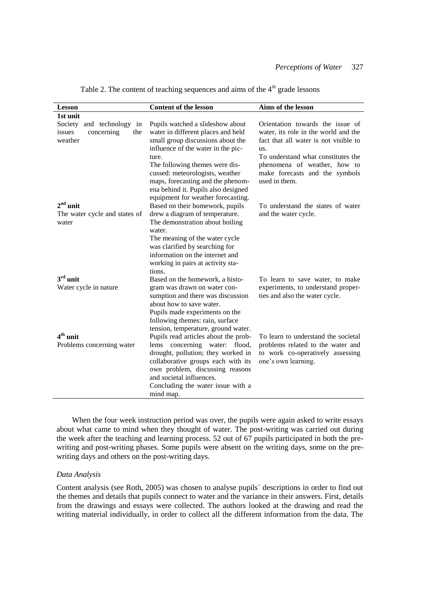| <b>Lesson</b>                                                          | <b>Content of the lesson</b>                                                                                                                                                                                                                                                                                | Aims of the lesson                                                                                                                                                                                                                                |  |  |
|------------------------------------------------------------------------|-------------------------------------------------------------------------------------------------------------------------------------------------------------------------------------------------------------------------------------------------------------------------------------------------------------|---------------------------------------------------------------------------------------------------------------------------------------------------------------------------------------------------------------------------------------------------|--|--|
| 1st unit                                                               |                                                                                                                                                                                                                                                                                                             |                                                                                                                                                                                                                                                   |  |  |
| Society and technology<br>in<br>concerning<br>the<br>issues<br>weather | Pupils watched a slideshow about<br>water in different places and held<br>small group discussions about the<br>influence of the water in the pic-<br>ture.<br>The following themes were dis-<br>cussed: meteorologists, weather<br>maps, forecasting and the phenom-<br>ena behind it. Pupils also designed | Orientation towards the issue of<br>water, its role in the world and the<br>fact that all water is not visible to<br>us.<br>To understand what constitutes the<br>phenomena of weather, how to<br>make forecasts and the symbols<br>used in them. |  |  |
| $2nd$ unit<br>The water cycle and states of<br>water                   | equipment for weather forecasting.<br>Based on their homework, pupils<br>drew a diagram of temperature.<br>The demonstration about boiling<br>water.<br>The meaning of the water cycle<br>was clarified by searching for<br>information on the internet and<br>working in pairs at activity sta-<br>tions.  | To understand the states of water<br>and the water cycle.                                                                                                                                                                                         |  |  |
| $3rd$ unit<br>Water cycle in nature                                    | Based on the homework, a histo-<br>gram was drawn on water con-<br>sumption and there was discussion<br>about how to save water.<br>Pupils made experiments on the<br>following themes: rain, surface<br>tension, temperature, ground water.                                                                | To learn to save water, to make<br>experiments, to understand proper-<br>ties and also the water cycle.                                                                                                                                           |  |  |
| $4th$ unit<br>Problems concerning water                                | Pupils read articles about the prob-<br>lems concerning water: flood,<br>drought, pollution; they worked in<br>collaborative groups each with its<br>own problem, discussing reasons<br>and societal influences.<br>Concluding the water issue with a<br>mind map.                                          | To learn to understand the societal<br>problems related to the water and<br>to work co-operatively assessing<br>one's own learning.                                                                                                               |  |  |

Table 2. The content of teaching sequences and aims of the  $4<sup>th</sup>$  grade lessons

When the four week instruction period was over, the pupils were again asked to write essays about what came to mind when they thought of water. The post-writing was carried out during the week after the teaching and learning process. 52 out of 67 pupils participated in both the prewriting and post-writing phases. Some pupils were absent on the writing days, some on the prewriting days and others on the post-writing days.

### *Data Analysis*

Content analysis (see Roth, 2005) was chosen to analyse pupils´ descriptions in order to find out the themes and details that pupils connect to water and the variance in their answers. First, details from the drawings and essays were collected. The authors looked at the drawing and read the writing material individually, in order to collect all the different information from the data. The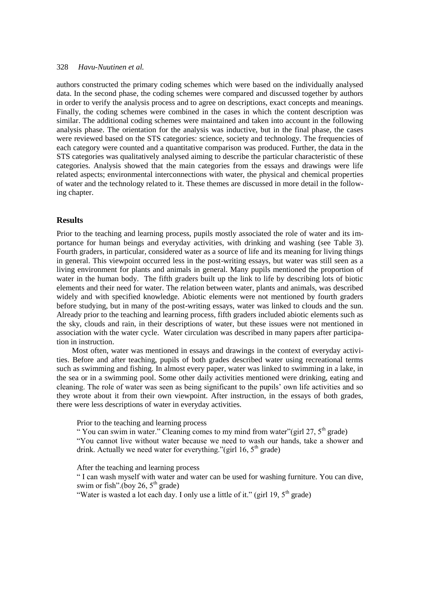authors constructed the primary coding schemes which were based on the individually analysed data. In the second phase, the coding schemes were compared and discussed together by authors in order to verify the analysis process and to agree on descriptions, exact concepts and meanings. Finally, the coding schemes were combined in the cases in which the content description was similar. The additional coding schemes were maintained and taken into account in the following analysis phase. The orientation for the analysis was inductive, but in the final phase, the cases were reviewed based on the STS categories: science, society and technology. The frequencies of each category were counted and a quantitative comparison was produced. Further, the data in the STS categories was qualitatively analysed aiming to describe the particular characteristic of these categories. Analysis showed that the main categories from the essays and drawings were life related aspects; environmental interconnections with water, the physical and chemical properties of water and the technology related to it. These themes are discussed in more detail in the following chapter.

# **Results**

Prior to the teaching and learning process, pupils mostly associated the role of water and its importance for human beings and everyday activities, with drinking and washing (see Table 3). Fourth graders, in particular, considered water as a source of life and its meaning for living things in general. This viewpoint occurred less in the post-writing essays, but water was still seen as a living environment for plants and animals in general. Many pupils mentioned the proportion of water in the human body. The fifth graders built up the link to life by describing lots of biotic elements and their need for water. The relation between water, plants and animals, was described widely and with specified knowledge. Abiotic elements were not mentioned by fourth graders before studying, but in many of the post-writing essays, water was linked to clouds and the sun. Already prior to the teaching and learning process, fifth graders included abiotic elements such as the sky, clouds and rain, in their descriptions of water, but these issues were not mentioned in association with the water cycle. Water circulation was described in many papers after participation in instruction.

Most often, water was mentioned in essays and drawings in the context of everyday activities. Before and after teaching, pupils of both grades described water using recreational terms such as swimming and fishing. In almost every paper, water was linked to swimming in a lake, in the sea or in a swimming pool. Some other daily activities mentioned were drinking, eating and cleaning. The role of water was seen as being significant to the pupils' own life activities and so they wrote about it from their own viewpoint. After instruction, in the essays of both grades, there were less descriptions of water in everyday activities.

Prior to the teaching and learning process

" You can swim in water." Cleaning comes to my mind from water" (girl 27,  $5<sup>th</sup>$  grade)

"You cannot live without water because we need to wash our hands, take a shower and drink. Actually we need water for everything."(girl 16,  $5<sup>th</sup>$  grade)

After the teaching and learning process

" I can wash myself with water and water can be used for washing furniture. You can dive, swim or fish".(boy 26,  $5<sup>th</sup>$  grade)

"Water is wasted a lot each day. I only use a little of it." (girl 19,  $5<sup>th</sup>$  grade)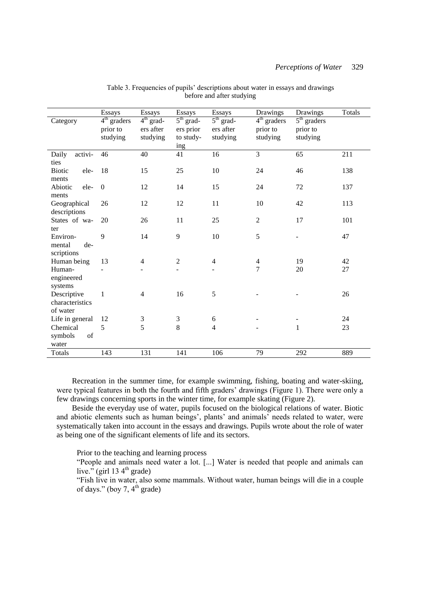|                                | <b>Essays</b> | Essays         | Essays           | Essays           | Drawings       | Drawings      | <b>Totals</b> |
|--------------------------------|---------------|----------------|------------------|------------------|----------------|---------------|---------------|
| Category                       | $4th$ graders | $4th$ grad-    | $5th$ grad-      | $5th$ grad-      | $4th$ graders  | $5th$ graders |               |
|                                | prior to      | ers after      | ers prior        | ers after        | prior to       | prior to      |               |
|                                | studying      | studying       | to study-        | studying         | studying       | studying      |               |
|                                |               |                | ing              |                  |                |               |               |
| activi-<br>Daily<br>ties       | 46            | 40             | 41               | 16               | $\overline{3}$ | 65            | 211           |
| <b>Biotic</b><br>ele-<br>ments | 18            | 15             | 25               | 10               | 24             | 46            | 138           |
| Abiotic<br>ele-                | $\mathbf{0}$  | 12             | 14               | 15               | 24             | 72            | 137           |
| ments                          |               |                |                  |                  |                |               |               |
| Geographical<br>descriptions   | 26            | 12             | 12               | 11               | 10             | 42            | 113           |
| States of wa-<br>ter           | 20            | 26             | 11               | 25               | $\mathbf{2}$   | 17            | 101           |
| Environ-                       | 9             | 14             | 9                | 10               | 5              |               | 47            |
| mental<br>de-<br>scriptions    |               |                |                  |                  |                |               |               |
| Human being                    | 13            | $\overline{4}$ | $\boldsymbol{2}$ | $\overline{4}$   | $\overline{4}$ | 19            | 42            |
| Human-<br>engineered           |               |                |                  |                  | 7              | 20            | 27            |
| systems                        |               |                |                  |                  |                |               |               |
| Descriptive                    | $\mathbf{1}$  | $\overline{4}$ | 16               | 5                |                |               | 26            |
| characteristics                |               |                |                  |                  |                |               |               |
| of water                       |               |                |                  |                  |                |               |               |
| Life in general                | 12            | 3              | 3                | $\boldsymbol{6}$ |                |               | 24            |
| Chemical                       | 5             | 5              | 8                | $\overline{4}$   |                | $\mathbf{1}$  | 23            |
| symbols<br>of                  |               |                |                  |                  |                |               |               |
| water                          |               |                |                  |                  |                |               |               |
| Totals                         | 143           | 131            | 141              | 106              | 79             | 292           | 889           |

Table 3. Frequencies of pupils' descriptions about water in essays and drawings before and after studying

Recreation in the summer time, for example swimming, fishing, boating and water-skiing, were typical features in both the fourth and fifth graders' drawings (Figure 1). There were only a few drawings concerning sports in the winter time, for example skating (Figure 2).

Beside the everyday use of water, pupils focused on the biological relations of water. Biotic and abiotic elements such as human beings', plants' and animals' needs related to water, were systematically taken into account in the essays and drawings. Pupils wrote about the role of water as being one of the significant elements of life and its sectors.

Prior to the teaching and learning process

"People and animals need water a lot. [...] Water is needed that people and animals can live." (girl 13  $4<sup>th</sup>$  grade)

"Fish live in water, also some mammals. Without water, human beings will die in a couple of days." (boy 7,  $4^{th}$  grade)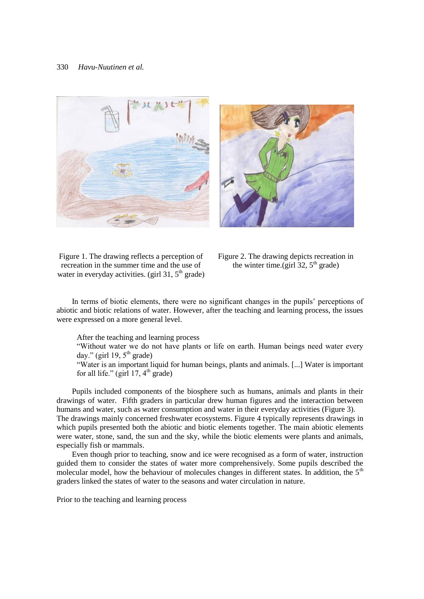



Figure 1. The drawing reflects a perception of recreation in the summer time and the use of water in everyday activities. (girl 31,  $5<sup>th</sup>$  grade)

Figure 2. The drawing depicts recreation in the winter time.(girl  $32.5<sup>th</sup>$  grade)

In terms of biotic elements, there were no significant changes in the pupils' perceptions of abiotic and biotic relations of water. However, after the teaching and learning process, the issues were expressed on a more general level.

After the teaching and learning process

"Without water we do not have plants or life on earth. Human beings need water every day." (girl 19,  $5<sup>th</sup>$  grade)

"Water is an important liquid for human beings, plants and animals. [...] Water is important for all life." (girl  $17, 4<sup>th</sup>$  grade)

Pupils included components of the biosphere such as humans, animals and plants in their drawings of water. Fifth graders in particular drew human figures and the interaction between humans and water, such as water consumption and water in their everyday activities (Figure 3). The drawings mainly concerned freshwater ecosystems. Figure 4 typically represents drawings in which pupils presented both the abiotic and biotic elements together. The main abiotic elements were water, stone, sand, the sun and the sky, while the biotic elements were plants and animals, especially fish or mammals.

Even though prior to teaching, snow and ice were recognised as a form of water, instruction guided them to consider the states of water more comprehensively. Some pupils described the molecular model, how the behaviour of molecules changes in different states. In addition, the 5<sup>th</sup> graders linked the states of water to the seasons and water circulation in nature.

Prior to the teaching and learning process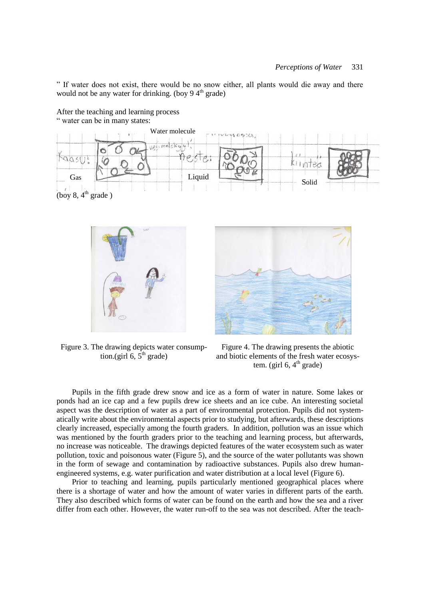" If water does not exist, there would be no snow either, all plants would die away and there would not be any water for drinking. (boy  $9.4<sup>th</sup>$  grade)



After the teaching and learning process " water can be in many states:



Figure 3. The drawing depicts water consumption.(girl  $6, 5^{\text{th}}$  grade)

Figure 4. The drawing presents the abiotic and biotic elements of the fresh water ecosystem. (girl  $6, 4<sup>th</sup>$  grade)

Pupils in the fifth grade drew snow and ice as a form of water in nature. Some lakes or ponds had an ice cap and a few pupils drew ice sheets and an ice cube. An interesting societal aspect was the description of water as a part of environmental protection. Pupils did not systematically write about the environmental aspects prior to studying, but afterwards, these descriptions clearly increased, especially among the fourth graders. In addition, pollution was an issue which was mentioned by the fourth graders prior to the teaching and learning process, but afterwards, no increase was noticeable. The drawings depicted features of the water ecosystem such as water pollution, toxic and poisonous water (Figure 5), and the source of the water pollutants was shown in the form of sewage and contamination by radioactive substances. Pupils also drew humanengineered systems, e.g. water purification and water distribution at a local level (Figure 6).

Prior to teaching and learning, pupils particularly mentioned geographical places where there is a shortage of water and how the amount of water varies in different parts of the earth. They also described which forms of water can be found on the earth and how the sea and a river differ from each other. However, the water run-off to the sea was not described. After the teach-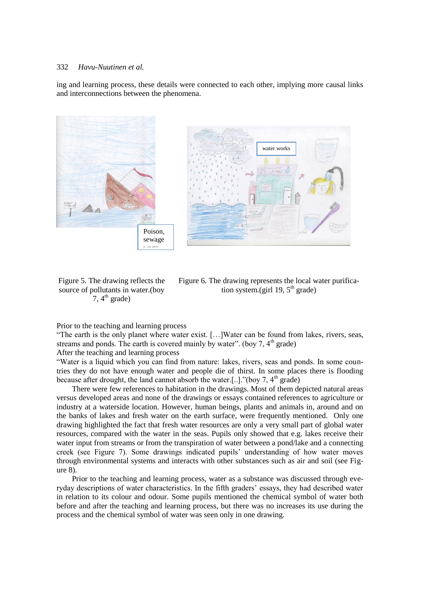ing and learning process, these details were connected to each other, implying more causal links and interconnections between the phenomena.



Figure 5. The drawing reflects the source of pollutants in water.(boy  $7, 4<sup>th</sup>$  grade)

Figure 6. The drawing represents the local water purification system.(girl 19,  $5<sup>th</sup>$  grade)

Prior to the teaching and learning process

"The earth is the only planet where water exist. […]Water can be found from lakes, rivers, seas, streams and ponds. The earth is covered mainly by water". (boy  $7, 4<sup>th</sup>$  grade)

After the teaching and learning process

"Water is a liquid which you can find from nature: lakes, rivers, seas and ponds. In some countries they do not have enough water and people die of thirst. In some places there is flooding because after drought, the land cannot absorb the water.[..]."(boy 7,  $4<sup>th</sup>$  grade)

There were few references to habitation in the drawings. Most of them depicted natural areas versus developed areas and none of the drawings or essays contained references to agriculture or industry at a waterside location. However, human beings, plants and animals in, around and on the banks of lakes and fresh water on the earth surface, were frequently mentioned. Only one drawing highlighted the fact that fresh water resources are only a very small part of global water resources, compared with the water in the seas. Pupils only showed that e.g. lakes receive their water input from streams or from the transpiration of water between a pond/lake and a connecting creek (see Figure 7). Some drawings indicated pupils' understanding of how water moves through environmental systems and interacts with other substances such as air and soil (see Figure 8).

Prior to the teaching and learning process, water as a substance was discussed through everyday descriptions of water characteristics. In the fifth graders' essays, they had described water in relation to its colour and odour. Some pupils mentioned the chemical symbol of water both before and after the teaching and learning process, but there was no increases its use during the process and the chemical symbol of water was seen only in one drawing.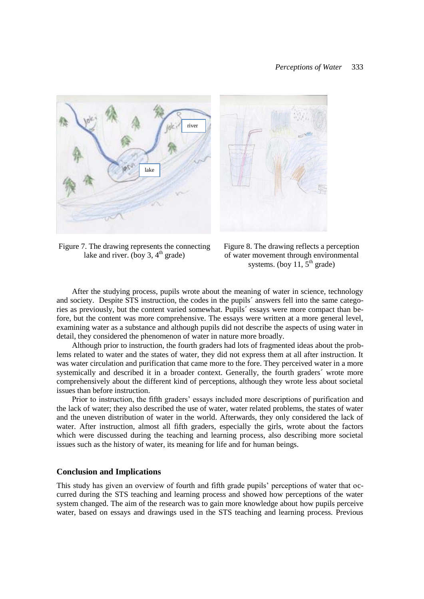

Figure 7. The drawing represents the connecting lake and river. (boy 3,  $4<sup>th</sup>$  grade)



After the studying process, pupils wrote about the meaning of water in science, technology and society. Despite STS instruction, the codes in the pupils´ answers fell into the same categories as previously, but the content varied somewhat. Pupils´ essays were more compact than before, but the content was more comprehensive. The essays were written at a more general level, examining water as a substance and although pupils did not describe the aspects of using water in detail, they considered the phenomenon of water in nature more broadly.

Although prior to instruction, the fourth graders had lots of fragmented ideas about the problems related to water and the states of water, they did not express them at all after instruction. It was water circulation and purification that came more to the fore. They perceived water in a more systemically and described it in a broader context. Generally, the fourth graders´ wrote more comprehensively about the different kind of perceptions, although they wrote less about societal issues than before instruction.

Prior to instruction, the fifth graders' essays included more descriptions of purification and the lack of water; they also described the use of water, water related problems, the states of water and the uneven distribution of water in the world. Afterwards, they only considered the lack of water. After instruction, almost all fifth graders, especially the girls, wrote about the factors which were discussed during the teaching and learning process, also describing more societal issues such as the history of water, its meaning for life and for human beings.

# **Conclusion and Implications**

This study has given an overview of fourth and fifth grade pupils' perceptions of water that occurred during the STS teaching and learning process and showed how perceptions of the water system changed. The aim of the research was to gain more knowledge about how pupils perceive water, based on essays and drawings used in the STS teaching and learning process. Previous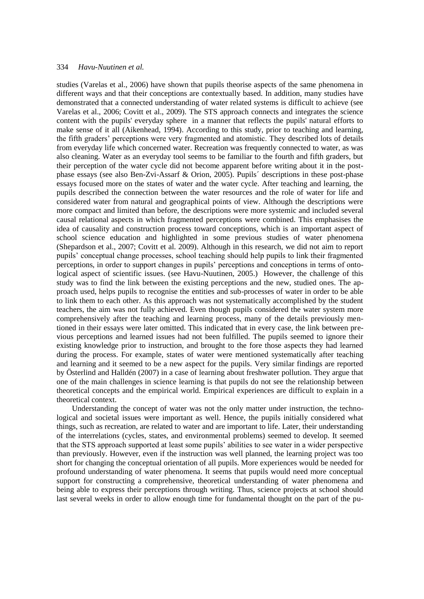studies (Varelas et al., 2006) have shown that pupils theorise aspects of the same phenomena in different ways and that their conceptions are contextually based. In addition, many studies have demonstrated that a connected understanding of water related systems is difficult to achieve (see Varelas et al., 2006; Covitt et al., 2009). The STS approach connects and integrates the science content with the pupils' everyday sphere in a manner that reflects the pupils' natural efforts to make sense of it all (Aikenhead, 1994). According to this study, prior to teaching and learning, the fifth graders' perceptions were very fragmented and atomistic. They described lots of details from everyday life which concerned water. Recreation was frequently connected to water, as was also cleaning. Water as an everyday tool seems to be familiar to the fourth and fifth graders, but their perception of the water cycle did not become apparent before writing about it in the postphase essays (see also Ben-Zvi-Assarf & Orion, 2005). Pupils´ descriptions in these post-phase essays focused more on the states of water and the water cycle. After teaching and learning, the pupils described the connection between the water resources and the role of water for life and considered water from natural and geographical points of view. Although the descriptions were more compact and limited than before, the descriptions were more systemic and included several causal relational aspects in which fragmented perceptions were combined. This emphasises the idea of causality and construction process toward conceptions, which is an important aspect of school science education and highlighted in some previous studies of water phenomena (Shepardson et al., 2007; Covitt et al. 2009). Although in this research, we did not aim to report pupils' conceptual change processes, school teaching should help pupils to link their fragmented perceptions, in order to support changes in pupils' perceptions and conceptions in terms of ontological aspect of scientific issues. (see Havu-Nuutinen, 2005.) However, the challenge of this study was to find the link between the existing perceptions and the new, studied ones. The approach used, helps pupils to recognise the entities and sub-processes of water in order to be able to link them to each other. As this approach was not systematically accomplished by the student teachers, the aim was not fully achieved. Even though pupils considered the water system more comprehensively after the teaching and learning process, many of the details previously mentioned in their essays were later omitted. This indicated that in every case, the link between previous perceptions and learned issues had not been fulfilled. The pupils seemed to ignore their existing knowledge prior to instruction, and brought to the fore those aspects they had learned during the process. For example, states of water were mentioned systematically after teaching and learning and it seemed to be a new aspect for the pupils. Very similar findings are reported by Österlind and Halldén (2007) in a case of learning about freshwater pollution. They argue that one of the main challenges in science learning is that pupils do not see the relationship between theoretical concepts and the empirical world. Empirical experiences are difficult to explain in a theoretical context.

Understanding the concept of water was not the only matter under instruction, the technological and societal issues were important as well. Hence, the pupils initially considered what things, such as recreation, are related to water and are important to life. Later, their understanding of the interrelations (cycles, states, and environmental problems) seemed to develop. It seemed that the STS approach supported at least some pupils' abilities to see water in a wider perspective than previously. However, even if the instruction was well planned, the learning project was too short for changing the conceptual orientation of all pupils. More experiences would be needed for profound understanding of water phenomena. It seems that pupils would need more conceptual support for constructing a comprehensive, theoretical understanding of water phenomena and being able to express their perceptions through writing. Thus, science projects at school should last several weeks in order to allow enough time for fundamental thought on the part of the pu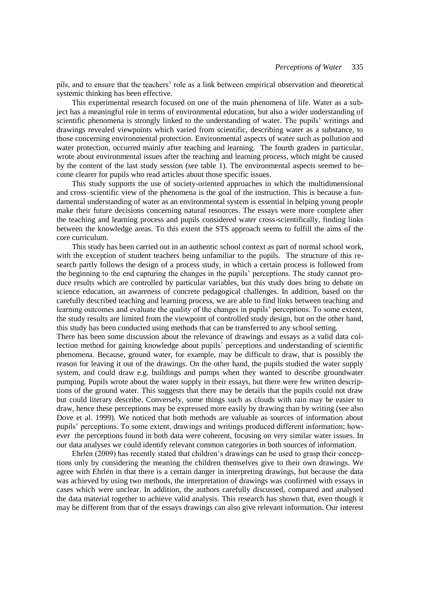pils, and to ensure that the teachers' role as a link between empirical observation and theoretical systemic thinking has been effective.

This experimental research focused on one of the main phenomena of life. Water as a subject has a meaningful role in terms of environmental education, but also a wider understanding of scientific phenomena is strongly linked to the understanding of water. The pupils' writings and drawings revealed viewpoints which varied from scientific, describing water as a substance, to those concerning environmental protection. Environmental aspects of water such as pollution and water protection, occurred mainly after teaching and learning. The fourth graders in particular, wrote about environmental issues after the teaching and learning process, which might be caused by the content of the last study session (see table 1). The environmental aspects seemed to become clearer for pupils who read articles about those specific issues.

This study supports the use of society-oriented approaches in which the multidimensional and cross–scientific view of the phenomena is the goal of the instruction. This is because a fundamental understanding of water as an environmental system is essential in helping young people make their future decisions concerning natural resources. The essays were more complete after the teaching and learning process and pupils considered water cross-scientifically, finding links between the knowledge areas. To this extent the STS approach seems to fulfill the aims of the core curriculum.

This study has been carried out in an authentic school context as part of normal school work, with the exception of student teachers being unfamiliar to the pupils. The structure of this research partly follows the design of a process study, in which a certain process is followed from the beginning to the end capturing the changes in the pupils' perceptions. The study cannot produce results which are controlled by particular variables, but this study does bring to debate on science education, an awareness of concrete pedagogical challenges. In addition, based on the carefully described teaching and learning process, we are able to find links between teaching and learning outcomes and evaluate the quality of the changes in pupils' perceptions. To some extent, the study results are limited from the viewpoint of controlled study design, but on the other hand, this study has been conducted using methods that can be transferred to any school setting.

There has been some discussion about the relevance of drawings and essays as a valid data collection method for gaining knowledge about pupils´ perceptions and understanding of scientific phenomena. Because, ground water, for example, may be difficult to draw, that is possibly the reason for leaving it out of the drawings. On the other hand, the pupils studied the water supply system, and could draw e.g. buildings and pumps when they wanted to describe groundwater pumping. Pupils wrote about the water supply in their essays, but there were few written descriptions of the ground water. This suggests that there may be details that the pupils could not draw but could literary describe. Conversely, some things such as clouds with rain may be easier to draw, hence these perceptions may be expressed more easily by drawing than by writing (see also Dove et al. 1999). We noticed that both methods are valuable as sources of information about pupils' perceptions. To some extent, drawings and writings produced different information; however the perceptions found in both data were coherent, focusing on very similar water issues. In our data analyses we could identify relevant common categories in both sources of information.

Ehrlén (2009) has recently stated that children's drawings can be used to grasp their conceptions only by considering the meaning the children themselves give to their own drawings. We agree with Ehrlén in that there is a certain danger in interpreting drawings, but because the data was achieved by using two methods, the interpretation of drawings was confirmed with essays in cases which were unclear. In addition, the authors carefully discussed, compared and analysed the data material together to achieve valid analysis. This research has shown that, even though it may be different from that of the essays drawings can also give relevant information. Our interest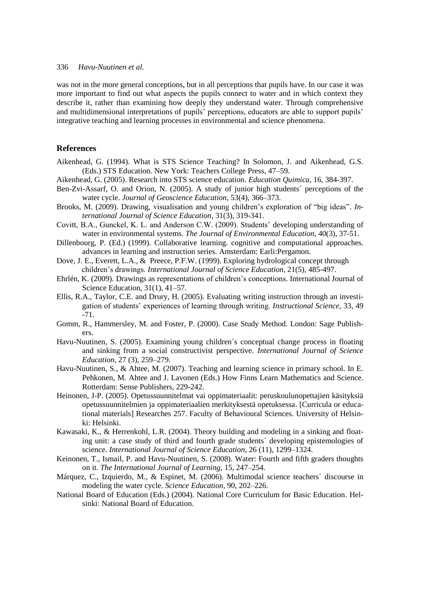was not in the more general conceptions, but in all perceptions that pupils have. In our case it was more important to find out what aspects the pupils connect to water and in which context they describe it, rather than examining how deeply they understand water. Through comprehensive and multidimensional interpretations of pupils' perceptions, educators are able to support pupils' integrative teaching and learning processes in environmental and science phenomena.

# **References**

- Aikenhead, G. (1994). What is STS Science Teaching? In Solomon, J. and Aikenhead, G.S. (Eds.) STS Education. New York: Teachers College Press, 47–59.
- Aikenhead, G. (2005). Research into STS science education. *Education Quimica*, 16, 384-397.
- Ben-Zvi-Assarf, O. and Orion, N. (2005). A study of junior high students´ perceptions of the water cycle. *Journal of Geoscience Education*, 53(4), 366–373.
- Brooks, M. (2009). Drawing, visualisation and young children's exploration of "big ideas". *International Journal of Science Education*, 31(3), 319-341.
- Covitt, B.A., Gunckel, K. L. and Anderson C.W. (2009). Students' developing understanding of water in environmental systems. *The Journal of Environmental Education*, 40(3), 37-51.
- Dillenbourg, P. (Ed.) (1999). Collaborative learning. cognitive and computational approaches. advances in learning and instruction series. Amsterdam: Earli:Pergamon.
- Dove, J. E., Everett, L.A., & Preece, P.F.W. (1999). Exploring hydrological concept through children's drawings. *International Journal of Science Education*, 21(5), 485-497.
- Ehrlén, K. (2009). Drawings as representations of children's conceptions. International Journal of Science Education, 31(1), 41–57.
- Ellis, R.A., Taylor, C.E. and Drury, H. (2005). Evaluating writing instruction through an investigation of students' experiences of learning through writing. *Instructional Science*, 33, 49 -71.
- Gomm, R., Hammersley, M. and Foster, P. (2000). Case Study Method. London: Sage Publishers.
- Havu-Nuutinen, S. (2005). Examining young children´s conceptual change process in floating and sinking from a social constructivist perspective. *International Journal of Science Education*, 27 (3), 259–279.
- Havu-Nuutinen, S., & Ahtee, M. (2007). Teaching and learning science in primary school. In E. Pehkonen, M. Ahtee and J. Lavonen (Eds.) How Finns Learn Mathematics and Science. Rotterdam: Sense Publishers, 229-242.
- Heinonen, J-P. (2005). Opetussuunnitelmat vai oppimateriaalit: peruskoulunopettajien käsityksiä opetussuunnitelmien ja oppimateriaalien merkityksestä opetuksessa. [Curricula or educational materials] Researches 257. Faculty of Behavioural Sciences. University of Helsinki: Helsinki.
- Kawasaki, K., & Herrenkohl, L.R. (2004). Theory building and modeling in a sinking and floating unit: a case study of third and fourth grade students´ developing epistemologies of science. *International Journal of Science Education*, 26 (11), 1299–1324.
- Keinonen, T., Ismail, P. and Havu-Nuutinen, S. (2008). Water: Fourth and fifth graders thoughts on it. *The International Journal of Learning*, 15, 247–254.
- Márquez, C., Izquierdo, M., & Espinet, M. (2006). Multimodal science teachers´ discourse in modeling the water cycle. *Science Education*, 90, 202–226.
- National Board of Education (Eds.) (2004). National Core Curriculum for Basic Education. Helsinki: National Board of Education.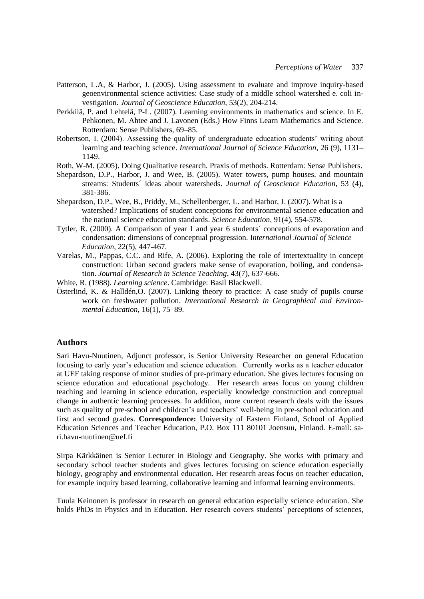- Patterson, L.A, & Harbor, J. (2005). Using assessment to evaluate and improve inquiry-based geoenvironmental science activities: Case study of a middle school watershed e. coli investigation. *Journal of Geoscience Education*, 53(2), 204-214.
- Perkkilä, P. and Lehtelä, P-L. (2007). Learning environments in mathematics and science. In E. Pehkonen, M. Ahtee and J. Lavonen (Eds.) How Finns Learn Mathematics and Science. Rotterdam: Sense Publishers, 69–85.
- Robertson, I. (2004). Assessing the quality of undergraduate education students' writing about learning and teaching science. *International Journal of Science Education*, 26 (9), 1131– 1149.
- Roth, W-M. (2005). Doing Qualitative research. Praxis of methods. Rotterdam: Sense Publishers.
- Shepardson, D.P., Harbor, J. and Wee, B. (2005). Water towers, pump houses, and mountain streams: Students´ ideas about watersheds. *Journal of Geoscience Education*, 53 (4), 381-386.
- Shepardson, D.P., Wee, B., Priddy, M., Schellenberger, L. and Harbor, J. (2007). What is a watershed? Implications of student conceptions for environmental science education and the national science education standards. *Science Education*, 91(4), 554-578.
- Tytler, R. (2000). A Comparison of year 1 and year 6 students´ conceptions of evaporation and condensation: dimensions of conceptual progression. I*nternational Journal of Science Education*, 22(5), 447-467.
- Varelas, M., Pappas, C.C. and Rife, A. (2006). Exploring the role of intertextuality in concept construction: Urban second graders make sense of evaporation, boiling, and condensation. *Journal of Research in Science Teaching*, 43(7), 637-666.
- White, R. (1988). *Learning science*. Cambridge: Basil Blackwell.
- Österlind, K. & Halldén,O. (2007). Linking theory to practice: A case study of pupils course work on freshwater pollution. *International Research in Geographical and Environmental Education*, 16(1), 75–89.

# **Authors**

Sari Havu-Nuutinen, Adjunct professor, is Senior University Researcher on general Education focusing to early year's education and science education. Currently works as a teacher educator at UEF taking response of minor studies of pre-primary education. She gives lectures focusing on science education and educational psychology. Her research areas focus on young children teaching and learning in science education, especially knowledge construction and conceptual change in authentic learning processes. In addition, more current research deals with the issues such as quality of pre-school and children's and teachers' well-being in pre-school education and first and second grades. **Correspondence:** University of Eastern Finland, School of Applied Education Sciences and Teacher Education, P.O. Box 111 80101 Joensuu, Finland. E-mail: sari.havu-nuutinen@uef.fi

Sirpa Kärkkäinen is Senior Lecturer in Biology and Geography. She works with primary and secondary school teacher students and gives lectures focusing on science education especially biology, geography and environmental education. Her research areas focus on teacher education, for example inquiry based learning, collaborative learning and informal learning environments.

Tuula Keinonen is professor in research on general education especially science education. She holds PhDs in Physics and in Education. Her research covers students' perceptions of sciences,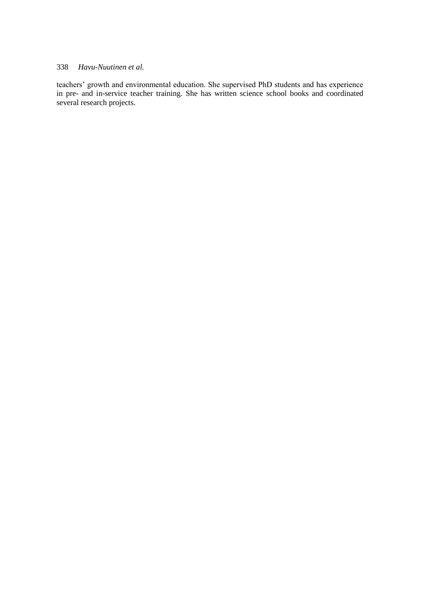teachers' growth and environmental education. She supervised PhD students and has experience in pre- and in-service teacher training. She has written science school books and coordinated several research projects.